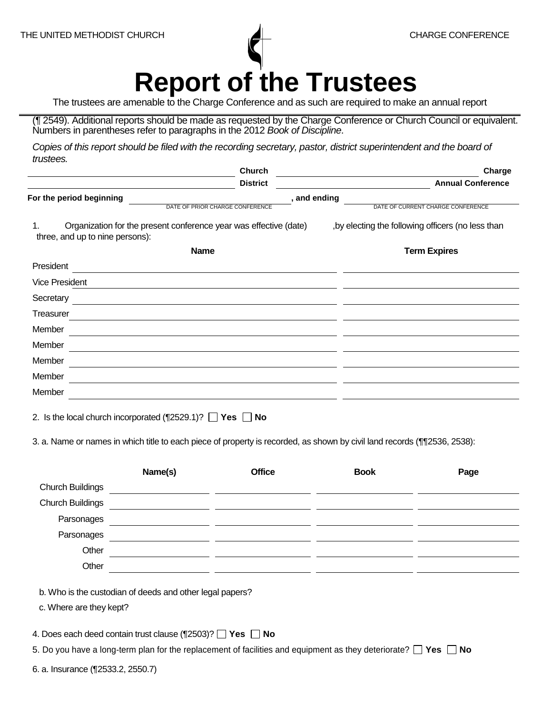**Report of the Trustees** 

The trustees are amenable to the Charge Conference and as such are required to make an annual report

(¶ 2549). Additional reports should be made as requested by the Charge Conference or Church Council or equivalent. Numbers in parentheses refer to paragraphs in the 2012 *Book of Discipline*.

Copies of this report should be filed with the recording secretary, pastor, district superintendent and the board of *trustees.*

|                                                                                                            | <b>Church</b>   | Charge                                             |
|------------------------------------------------------------------------------------------------------------|-----------------|----------------------------------------------------|
|                                                                                                            | <b>District</b> | <b>Annual Conference</b>                           |
| For the period beginning                                                                                   | , and ending    |                                                    |
| DATE OF PRIOR CHARGE CONFERENCE                                                                            |                 | DATE OF CURRENT CHARGE CONFERENCE                  |
| Organization for the present conference year was effective (date)<br>1.<br>three, and up to nine persons): |                 | , by electing the following officers (no less than |
| <b>Name</b>                                                                                                |                 | <b>Term Expires</b>                                |
| President                                                                                                  |                 |                                                    |
| <b>Vice President</b>                                                                                      |                 |                                                    |
| Secretary                                                                                                  |                 |                                                    |
| Treasurer                                                                                                  |                 |                                                    |
| Member                                                                                                     |                 |                                                    |
| Member                                                                                                     |                 |                                                    |
| Member                                                                                                     |                 |                                                    |
| Member                                                                                                     |                 |                                                    |
| Member                                                                                                     |                 |                                                    |
|                                                                                                            |                 |                                                    |

2. Is the local church incorporated  $(\sqrt{2529.1})$ ?  $\Box$  Yes  $\Box$  No

3. a. Name or names in which title to each piece of property is recorded, as shown by civil land records (¶¶2536, 2538):

|                         | Name(s) | <b>Office</b> | <b>Book</b> | Page |
|-------------------------|---------|---------------|-------------|------|
| <b>Church Buildings</b> |         |               |             |      |
| <b>Church Buildings</b> |         |               |             |      |
| Parsonages              |         |               |             |      |
| Parsonages              |         |               |             |      |
| Other                   |         |               |             |      |
| Other                   |         |               |             |      |
|                         |         |               |             |      |

b. Who is the custodian of deeds and other legal papers?

c. Where are they kept?

4. Does each deed contain trust clause (¶2503)? **Yes** No

5. Do you have a long-term plan for the replacement of facilities and equipment as they deteriorate?  $\Box$  Yes  $\Box$  No

6. a. Insurance (¶2533.2, 2550.7)